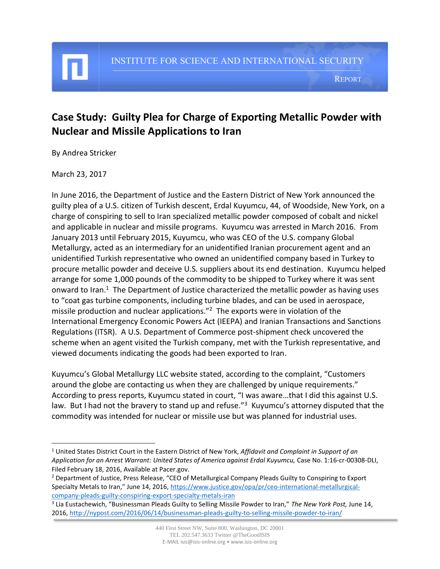#### REPORT

# **Case Study: Guilty Plea for Charge of Exporting Metallic Powder with Nuclear and Missile Applications to Iran**

By Andrea Stricker

#### March 23, 2017

 $\overline{\phantom{a}}$ 

In June 2016, the Department of Justice and the Eastern District of New York announced the guilty plea of a U.S. citizen of Turkish descent, Erdal Kuyumcu, 44, of Woodside, New York, on a charge of conspiring to sell to Iran specialized metallic powder composed of cobalt and nickel and applicable in nuclear and missile programs. Kuyumcu was arrested in March 2016. From January 2013 until February 2015, Kuyumcu, who was CEO of the U.S. company Global Metallurgy, acted as an intermediary for an unidentified Iranian procurement agent and an unidentified Turkish representative who owned an unidentified company based in Turkey to procure metallic powder and deceive U.S. suppliers about its end destination. Kuyumcu helped arrange for some 1,000 pounds of the commodity to be shipped to Turkey where it was sent onward to Iran. $1$  The Department of Justice characterized the metallic powder as having uses to "coat gas turbine components, including turbine blades, and can be used in aerospace, missile production and nuclear applications."<sup>2</sup> The exports were in violation of the International Emergency Economic Powers Act (IEEPA) and Iranian Transactions and Sanctions Regulations (ITSR). A U.S. Department of Commerce post-shipment check uncovered the scheme when an agent visited the Turkish company, met with the Turkish representative, and viewed documents indicating the goods had been exported to Iran.

Kuyumcu's Global Metallurgy LLC website stated, according to the complaint, "Customers around the globe are contacting us when they are challenged by unique requirements." According to press reports, Kuyumcu stated in court, "I was aware…that I did this against U.S. law. But I had not the bravery to stand up and refuse."<sup>3</sup> Kuyumcu's attorney disputed that the commodity was intended for nuclear or missile use but was planned for industrial uses.

<sup>1</sup> United States District Court in the Eastern District of New York, *Affidavit and Complaint in Support of an Application for an Arrest Warrant: United States of America against Erdal Kuyumcu,* Case No. 1:16-cr-00308-DLI, Filed February 18, 2016, Available at Pacer.gov.

<sup>&</sup>lt;sup>2</sup> Department of Justice, Press Release, "CEO of Metallurgical Company Pleads Guilty to Conspiring to Export Specialty Metals to Iran," June 14, 2016, [https://www.justice.gov/opa/pr/ceo-international-metallurgical](https://www.justice.gov/opa/pr/ceo-international-metallurgical-company-pleads-guilty-conspiring-export-specialty-metals-iran)[company-pleads-guilty-conspiring-export-specialty-metals-iran](https://www.justice.gov/opa/pr/ceo-international-metallurgical-company-pleads-guilty-conspiring-export-specialty-metals-iran)

<sup>3</sup> Lia Eustachewich, "Businessman Pleads Guilty to Selling Missile Powder to Iran," *The New York Post,* June 14, 2016,<http://nypost.com/2016/06/14/businessman-pleads-guilty-to-selling-missile-powder-to-iran/>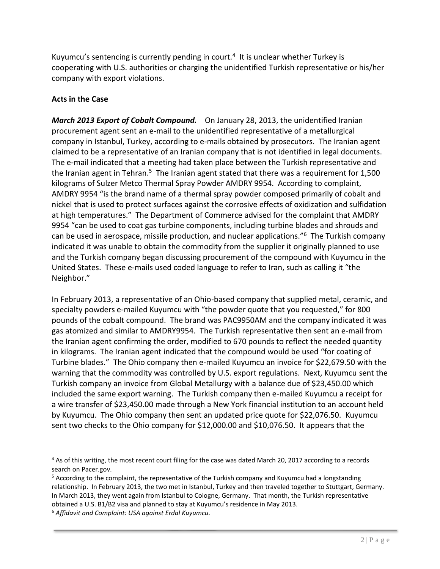Kuyumcu's sentencing is currently pending in court.<sup>4</sup> It is unclear whether Turkey is cooperating with U.S. authorities or charging the unidentified Turkish representative or his/her company with export violations.

#### **Acts in the Case**

*March 2013 Export of Cobalt Compound.* On January 28, 2013, the unidentified Iranian procurement agent sent an e-mail to the unidentified representative of a metallurgical company in Istanbul, Turkey, according to e-mails obtained by prosecutors. The Iranian agent claimed to be a representative of an Iranian company that is not identified in legal documents. The e-mail indicated that a meeting had taken place between the Turkish representative and the Iranian agent in Tehran.<sup>5</sup> The Iranian agent stated that there was a requirement for 1,500 kilograms of Sulzer Metco Thermal Spray Powder AMDRY 9954. According to complaint, AMDRY 9954 "is the brand name of a thermal spray powder composed primarily of cobalt and nickel that is used to protect surfaces against the corrosive effects of oxidization and sulfidation at high temperatures." The Department of Commerce advised for the complaint that AMDRY 9954 "can be used to coat gas turbine components, including turbine blades and shrouds and can be used in aerospace, missile production, and nuclear applications."<sup>6</sup> The Turkish company indicated it was unable to obtain the commodity from the supplier it originally planned to use and the Turkish company began discussing procurement of the compound with Kuyumcu in the United States. These e-mails used coded language to refer to Iran, such as calling it "the Neighbor."

In February 2013, a representative of an Ohio-based company that supplied metal, ceramic, and specialty powders e-mailed Kuyumcu with "the powder quote that you requested," for 800 pounds of the cobalt compound. The brand was PAC9950AM and the company indicated it was gas atomized and similar to AMDRY9954. The Turkish representative then sent an e-mail from the Iranian agent confirming the order, modified to 670 pounds to reflect the needed quantity in kilograms. The Iranian agent indicated that the compound would be used "for coating of Turbine blades." The Ohio company then e-mailed Kuyumcu an invoice for \$22,679.50 with the warning that the commodity was controlled by U.S. export regulations. Next, Kuyumcu sent the Turkish company an invoice from Global Metallurgy with a balance due of \$23,450.00 which included the same export warning. The Turkish company then e-mailed Kuyumcu a receipt for a wire transfer of \$23,450.00 made through a New York financial institution to an account held by Kuyumcu. The Ohio company then sent an updated price quote for \$22,076.50. Kuyumcu sent two checks to the Ohio company for \$12,000.00 and \$10,076.50. It appears that the

 $\overline{\phantom{a}}$ 

<sup>&</sup>lt;sup>4</sup> As of this writing, the most recent court filing for the case was dated March 20, 2017 according to a records search on Pacer.gov.

 $5$  According to the complaint, the representative of the Turkish company and Kuyumcu had a longstanding relationship. In February 2013, the two met in Istanbul, Turkey and then traveled together to Stuttgart, Germany. In March 2013, they went again from Istanbul to Cologne, Germany. That month, the Turkish representative obtained a U.S. B1/B2 visa and planned to stay at Kuyumcu's residence in May 2013.

<sup>6</sup> *Affidavit and Complaint: USA against Erdal Kuyumcu.*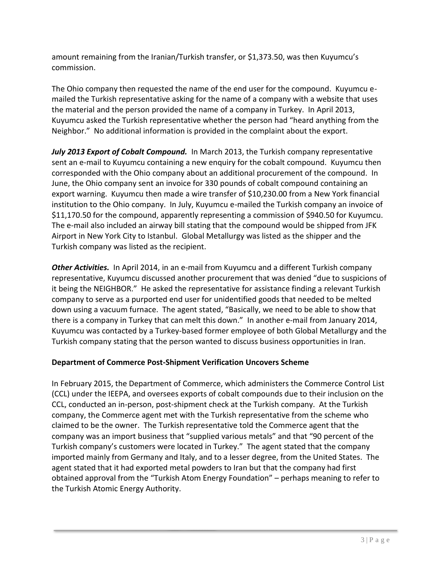amount remaining from the Iranian/Turkish transfer, or \$1,373.50, was then Kuyumcu's commission.

The Ohio company then requested the name of the end user for the compound. Kuyumcu emailed the Turkish representative asking for the name of a company with a website that uses the material and the person provided the name of a company in Turkey. In April 2013, Kuyumcu asked the Turkish representative whether the person had "heard anything from the Neighbor." No additional information is provided in the complaint about the export.

*July 2013 Export of Cobalt Compound.* In March 2013, the Turkish company representative sent an e-mail to Kuyumcu containing a new enquiry for the cobalt compound. Kuyumcu then corresponded with the Ohio company about an additional procurement of the compound. In June, the Ohio company sent an invoice for 330 pounds of cobalt compound containing an export warning. Kuyumcu then made a wire transfer of \$10,230.00 from a New York financial institution to the Ohio company. In July, Kuyumcu e-mailed the Turkish company an invoice of \$11,170.50 for the compound, apparently representing a commission of \$940.50 for Kuyumcu. The e-mail also included an airway bill stating that the compound would be shipped from JFK Airport in New York City to Istanbul. Global Metallurgy was listed as the shipper and the Turkish company was listed as the recipient.

*Other Activities.* In April 2014, in an e-mail from Kuyumcu and a different Turkish company representative, Kuyumcu discussed another procurement that was denied "due to suspicions of it being the NEIGHBOR." He asked the representative for assistance finding a relevant Turkish company to serve as a purported end user for unidentified goods that needed to be melted down using a vacuum furnace. The agent stated, "Basically, we need to be able to show that there is a company in Turkey that can melt this down." In another e-mail from January 2014, Kuyumcu was contacted by a Turkey-based former employee of both Global Metallurgy and the Turkish company stating that the person wanted to discuss business opportunities in Iran.

#### **Department of Commerce Post-Shipment Verification Uncovers Scheme**

In February 2015, the Department of Commerce, which administers the Commerce Control List (CCL) under the IEEPA, and oversees exports of cobalt compounds due to their inclusion on the CCL, conducted an in-person, post-shipment check at the Turkish company. At the Turkish company, the Commerce agent met with the Turkish representative from the scheme who claimed to be the owner. The Turkish representative told the Commerce agent that the company was an import business that "supplied various metals" and that "90 percent of the Turkish company's customers were located in Turkey." The agent stated that the company imported mainly from Germany and Italy, and to a lesser degree, from the United States. The agent stated that it had exported metal powders to Iran but that the company had first obtained approval from the "Turkish Atom Energy Foundation" – perhaps meaning to refer to the Turkish Atomic Energy Authority.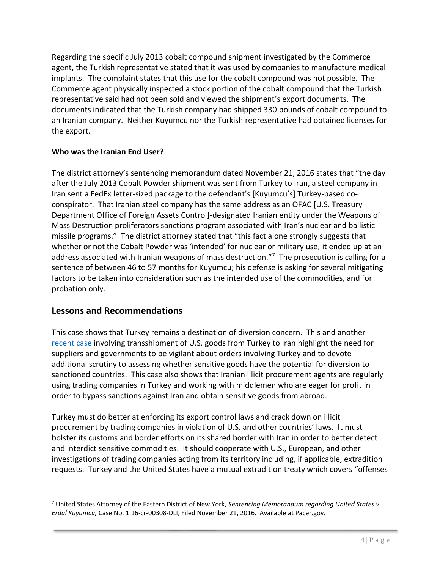Regarding the specific July 2013 cobalt compound shipment investigated by the Commerce agent, the Turkish representative stated that it was used by companies to manufacture medical implants. The complaint states that this use for the cobalt compound was not possible. The Commerce agent physically inspected a stock portion of the cobalt compound that the Turkish representative said had not been sold and viewed the shipment's export documents. The documents indicated that the Turkish company had shipped 330 pounds of cobalt compound to an Iranian company. Neither Kuyumcu nor the Turkish representative had obtained licenses for the export.

### **Who was the Iranian End User?**

The district attorney's sentencing memorandum dated November 21, 2016 states that "the day after the July 2013 Cobalt Powder shipment was sent from Turkey to Iran, a steel company in Iran sent a FedEx letter-sized package to the defendant's [Kuyumcu's] Turkey-based coconspirator. That Iranian steel company has the same address as an OFAC [U.S. Treasury Department Office of Foreign Assets Control]-designated Iranian entity under the Weapons of Mass Destruction proliferators sanctions program associated with Iran's nuclear and ballistic missile programs." The district attorney stated that "this fact alone strongly suggests that whether or not the Cobalt Powder was 'intended' for nuclear or military use, it ended up at an address associated with Iranian weapons of mass destruction."<sup>7</sup> The prosecution is calling for a sentence of between 46 to 57 months for Kuyumcu; his defense is asking for several mitigating factors to be taken into consideration such as the intended use of the commodities, and for probation only.

## **Lessons and Recommendations**

l

This case shows that Turkey remains a destination of diversion concern. This and another [recent case](http://isis-online.org/isis-reports/detail/case-study-four-turkish-nationals-indicted-for-making-illicit-u.s.-financia/) involving transshipment of U.S. goods from Turkey to Iran highlight the need for suppliers and governments to be vigilant about orders involving Turkey and to devote additional scrutiny to assessing whether sensitive goods have the potential for diversion to sanctioned countries. This case also shows that Iranian illicit procurement agents are regularly using trading companies in Turkey and working with middlemen who are eager for profit in order to bypass sanctions against Iran and obtain sensitive goods from abroad.

Turkey must do better at enforcing its export control laws and crack down on illicit procurement by trading companies in violation of U.S. and other countries' laws. It must bolster its customs and border efforts on its shared border with Iran in order to better detect and interdict sensitive commodities. It should cooperate with U.S., European, and other investigations of trading companies acting from its territory including, if applicable, extradition requests. Turkey and the United States have a mutual extradition treaty which covers "offenses

<sup>7</sup> United States Attorney of the Eastern District of New York, *Sentencing Memorandum regarding United States v. Erdal Kuyumcu,* Case No. 1:16-cr-00308-DLI, Filed November 21, 2016. Available at Pacer.gov.